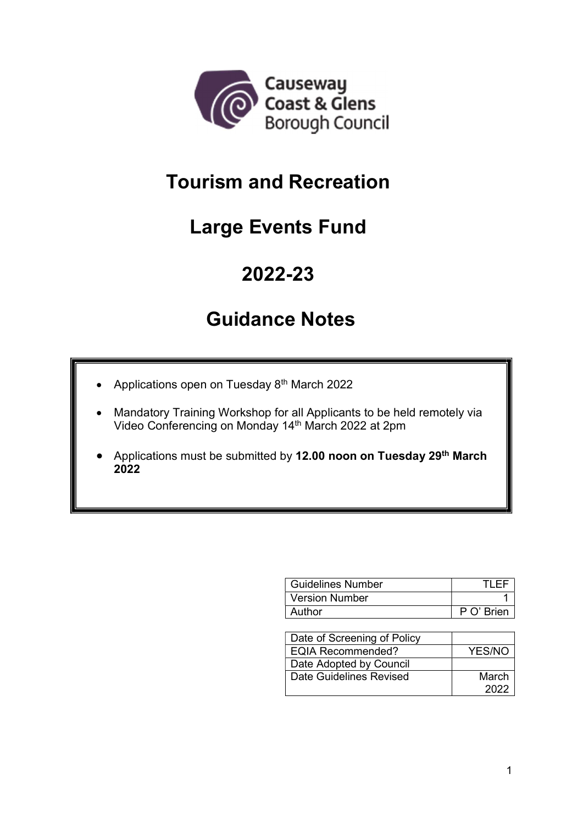

## Tourism and Recreation

# Large Events Fund

## 2022-23

## Guidance Notes

- Applications open on Tuesday  $8<sup>th</sup>$  March 2022
- Mandatory Training Workshop for all Applicants to be held remotely via Video Conferencing on Monday 14th March 2022 at 2pm
- Applications must be submitted by 12.00 noon on Tuesday 29<sup>th</sup> March 2022

| <b>Guidelines Number</b> |                 |
|--------------------------|-----------------|
| Version Number           |                 |
| Author                   | $P \cap'$ Brien |

| Date of Screening of Policy |        |
|-----------------------------|--------|
| <b>EQIA Recommended?</b>    | YES/NO |
| Date Adopted by Council     |        |
| Date Guidelines Revised     | March  |
|                             | 2022   |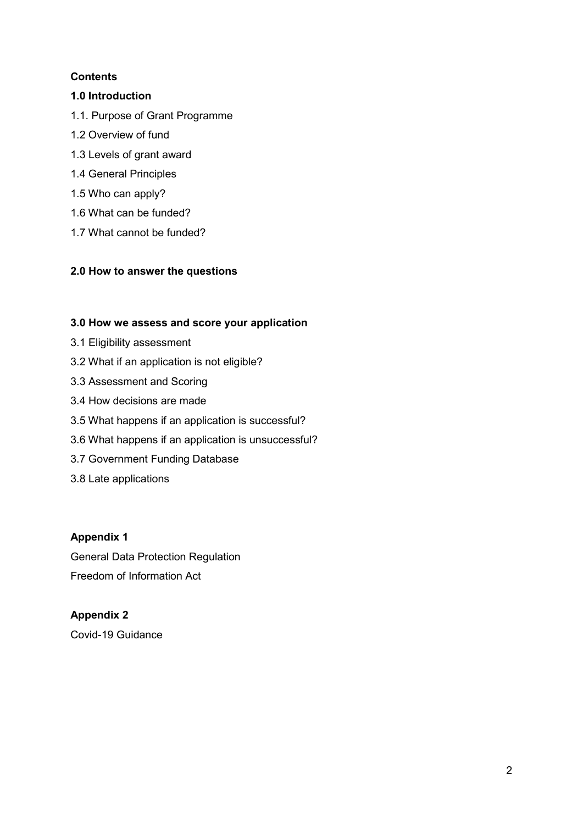## **Contents**

## 1.0 Introduction

- 1.1. Purpose of Grant Programme
- 1.2 Overview of fund
- 1.3 Levels of grant award
- 1.4 General Principles
- 1.5 Who can apply?
- 1.6 What can be funded?
- 1.7 What cannot be funded?

## 2.0 How to answer the questions

## 3.0 How we assess and score your application

- 3.1 Eligibility assessment
- 3.2 What if an application is not eligible?
- 3.3 Assessment and Scoring
- 3.4 How decisions are made
- 3.5 What happens if an application is successful?
- 3.6 What happens if an application is unsuccessful?
- 3.7 Government Funding Database
- 3.8 Late applications

## Appendix 1

General Data Protection Regulation Freedom of Information Act

## Appendix 2

Covid-19 Guidance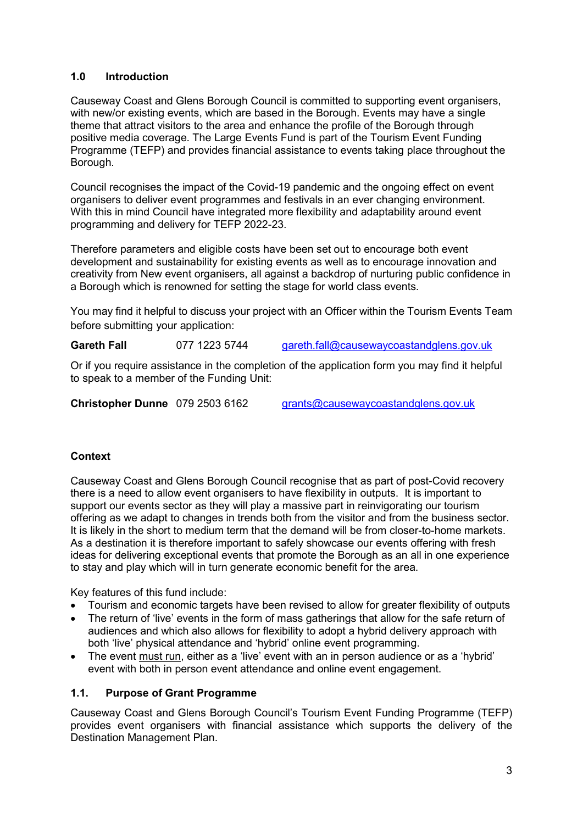## 1.0 Introduction

Causeway Coast and Glens Borough Council is committed to supporting event organisers, with new/or existing events, which are based in the Borough. Events may have a single theme that attract visitors to the area and enhance the profile of the Borough through positive media coverage. The Large Events Fund is part of the Tourism Event Funding Programme (TEFP) and provides financial assistance to events taking place throughout the Borough.

Council recognises the impact of the Covid-19 pandemic and the ongoing effect on event organisers to deliver event programmes and festivals in an ever changing environment. With this in mind Council have integrated more flexibility and adaptability around event programming and delivery for TEFP 2022-23.

Therefore parameters and eligible costs have been set out to encourage both event development and sustainability for existing events as well as to encourage innovation and creativity from New event organisers, all against a backdrop of nurturing public confidence in a Borough which is renowned for setting the stage for world class events.

You may find it helpful to discuss your project with an Officer within the Tourism Events Team before submitting your application:

Gareth Fall 077 1223 5744 gareth.fall@causewaycoastandglens.gov.uk

Or if you require assistance in the completion of the application form you may find it helpful to speak to a member of the Funding Unit:

Christopher Dunne 079 2503 6162 grants@causewaycoastandglens.gov.uk

## **Context**

Causeway Coast and Glens Borough Council recognise that as part of post-Covid recovery there is a need to allow event organisers to have flexibility in outputs. It is important to support our events sector as they will play a massive part in reinvigorating our tourism offering as we adapt to changes in trends both from the visitor and from the business sector. It is likely in the short to medium term that the demand will be from closer-to-home markets. As a destination it is therefore important to safely showcase our events offering with fresh ideas for delivering exceptional events that promote the Borough as an all in one experience to stay and play which will in turn generate economic benefit for the area.

Key features of this fund include:

- Tourism and economic targets have been revised to allow for greater flexibility of outputs
- The return of 'live' events in the form of mass gatherings that allow for the safe return of audiences and which also allows for flexibility to adopt a hybrid delivery approach with both 'live' physical attendance and 'hybrid' online event programming.
- The event must run, either as a 'live' event with an in person audience or as a 'hybrid' event with both in person event attendance and online event engagement.

#### 1.1. Purpose of Grant Programme

Causeway Coast and Glens Borough Council's Tourism Event Funding Programme (TEFP) provides event organisers with financial assistance which supports the delivery of the Destination Management Plan.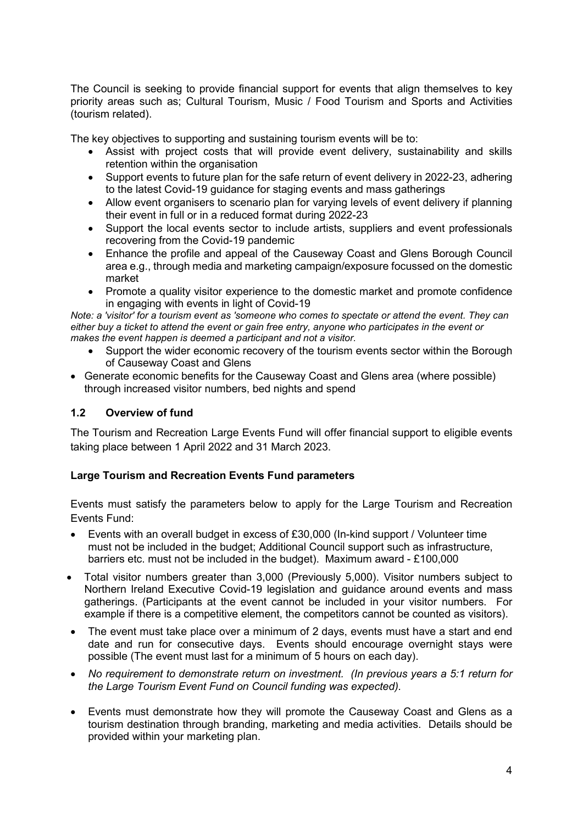The Council is seeking to provide financial support for events that align themselves to key priority areas such as; Cultural Tourism, Music / Food Tourism and Sports and Activities (tourism related).

The key objectives to supporting and sustaining tourism events will be to:

- Assist with project costs that will provide event delivery, sustainability and skills retention within the organisation
- Support events to future plan for the safe return of event delivery in 2022-23, adhering to the latest Covid-19 guidance for staging events and mass gatherings
- Allow event organisers to scenario plan for varying levels of event delivery if planning their event in full or in a reduced format during 2022-23
- Support the local events sector to include artists, suppliers and event professionals recovering from the Covid-19 pandemic
- Enhance the profile and appeal of the Causeway Coast and Glens Borough Council area e.g., through media and marketing campaign/exposure focussed on the domestic market
- Promote a quality visitor experience to the domestic market and promote confidence in engaging with events in light of Covid-19

Note: a 'visitor' for a tourism event as 'someone who comes to spectate or attend the event. They can either buy a ticket to attend the event or gain free entry, anyone who participates in the event or makes the event happen is deemed a participant and not a visitor.

- Support the wider economic recovery of the tourism events sector within the Borough of Causeway Coast and Glens
- Generate economic benefits for the Causeway Coast and Glens area (where possible) through increased visitor numbers, bed nights and spend

## 1.2 Overview of fund

The Tourism and Recreation Large Events Fund will offer financial support to eligible events taking place between 1 April 2022 and 31 March 2023.

## Large Tourism and Recreation Events Fund parameters

Events must satisfy the parameters below to apply for the Large Tourism and Recreation Events Fund:

- Events with an overall budget in excess of £30,000 (In-kind support / Volunteer time must not be included in the budget; Additional Council support such as infrastructure, barriers etc. must not be included in the budget). Maximum award - £100,000
- Total visitor numbers greater than 3,000 (Previously 5,000). Visitor numbers subject to Northern Ireland Executive Covid-19 legislation and guidance around events and mass gatherings. (Participants at the event cannot be included in your visitor numbers. For example if there is a competitive element, the competitors cannot be counted as visitors).
- The event must take place over a minimum of 2 days, events must have a start and end date and run for consecutive days. Events should encourage overnight stays were possible (The event must last for a minimum of 5 hours on each day).
- No requirement to demonstrate return on investment. (In previous years a 5:1 return for the Large Tourism Event Fund on Council funding was expected).
- Events must demonstrate how they will promote the Causeway Coast and Glens as a tourism destination through branding, marketing and media activities. Details should be provided within your marketing plan.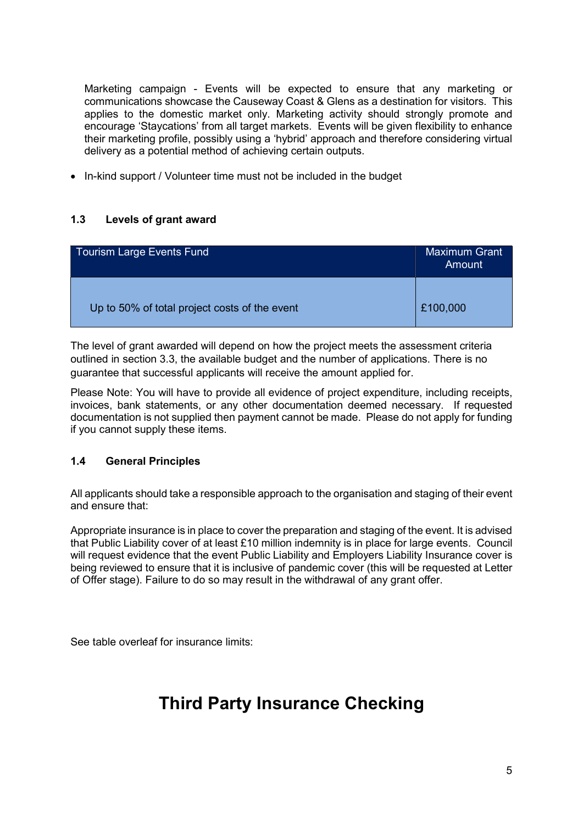Marketing campaign - Events will be expected to ensure that any marketing or communications showcase the Causeway Coast & Glens as a destination for visitors. This applies to the domestic market only. Marketing activity should strongly promote and encourage 'Staycations' from all target markets. Events will be given flexibility to enhance their marketing profile, possibly using a 'hybrid' approach and therefore considering virtual delivery as a potential method of achieving certain outputs.

• In-kind support / Volunteer time must not be included in the budget

## 1.3 Levels of grant award

| <b>Tourism Large Events Fund</b>              | <b>Maximum Grant</b><br>Amount |
|-----------------------------------------------|--------------------------------|
| Up to 50% of total project costs of the event | £100,000                       |

The level of grant awarded will depend on how the project meets the assessment criteria outlined in section 3.3, the available budget and the number of applications. There is no guarantee that successful applicants will receive the amount applied for.

Please Note: You will have to provide all evidence of project expenditure, including receipts, invoices, bank statements, or any other documentation deemed necessary. If requested documentation is not supplied then payment cannot be made. Please do not apply for funding if you cannot supply these items.

## 1.4 General Principles

All applicants should take a responsible approach to the organisation and staging of their event and ensure that:

Appropriate insurance is in place to cover the preparation and staging of the event. It is advised that Public Liability cover of at least £10 million indemnity is in place for large events. Council will request evidence that the event Public Liability and Employers Liability Insurance cover is being reviewed to ensure that it is inclusive of pandemic cover (this will be requested at Letter of Offer stage). Failure to do so may result in the withdrawal of any grant offer.

See table overleaf for insurance limits:

## Third Party Insurance Checking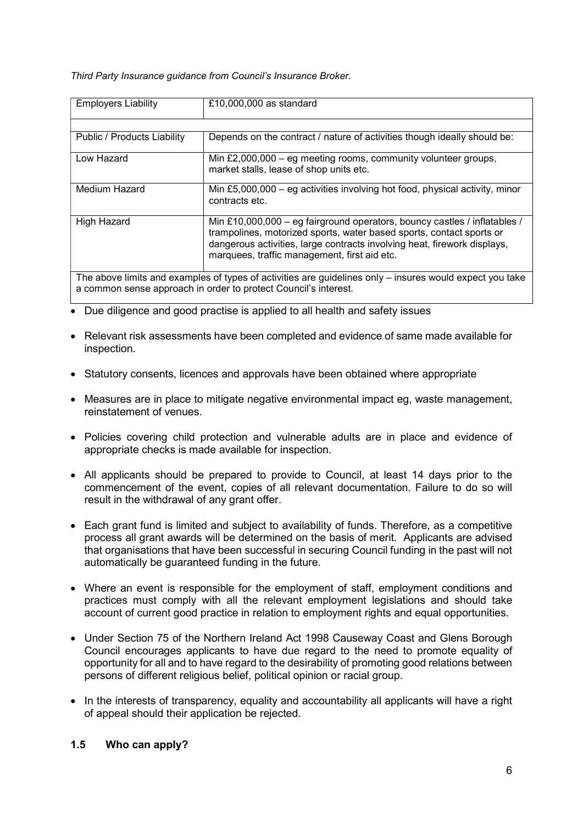Third Party Insurance guidance from Council's Insurance Broker.

| <b>Employers Liability</b>                                                                               | £10,000,000 as standard                                                                                                                                                                                                                                                       |  |
|----------------------------------------------------------------------------------------------------------|-------------------------------------------------------------------------------------------------------------------------------------------------------------------------------------------------------------------------------------------------------------------------------|--|
|                                                                                                          |                                                                                                                                                                                                                                                                               |  |
| Public / Products Liability                                                                              | Depends on the contract / nature of activities though ideally should be:                                                                                                                                                                                                      |  |
| Low Hazard                                                                                               | Min $£2,000,000 - eg$ meeting rooms, community volunteer groups,<br>market stalls, lease of shop units etc.                                                                                                                                                                   |  |
| Medium Hazard                                                                                            | Min £5,000,000 – eg activities involving hot food, physical activity, minor<br>contracts etc.                                                                                                                                                                                 |  |
| <b>High Hazard</b>                                                                                       | Min £10,000,000 – eg fairground operators, bouncy castles / inflatables /<br>trampolines, motorized sports, water based sports, contact sports or<br>dangerous activities, large contracts involving heat, firework displays,<br>marquees, traffic management, first aid etc. |  |
| The above limits and examples of types of activities are guidelines only – insures would expect you take |                                                                                                                                                                                                                                                                               |  |
|                                                                                                          | a common sense approach in order to protect Council's interest.                                                                                                                                                                                                               |  |

• Due diligence and good practise is applied to all health and safety issues

- Relevant risk assessments have been completed and evidence of same made available for inspection.
- Statutory consents, licences and approvals have been obtained where appropriate
- Measures are in place to mitigate negative environmental impact eg, waste management, reinstatement of venues.
- Policies covering child protection and vulnerable adults are in place and evidence of appropriate checks is made available for inspection.
- All applicants should be prepared to provide to Council, at least 14 days prior to the commencement of the event, copies of all relevant documentation. Failure to do so will result in the withdrawal of any grant offer.
- Each grant fund is limited and subject to availability of funds. Therefore, as a competitive process all grant awards will be determined on the basis of merit. Applicants are advised that organisations that have been successful in securing Council funding in the past will not automatically be guaranteed funding in the future.
- Where an event is responsible for the employment of staff, employment conditions and practices must comply with all the relevant employment legislations and should take account of current good practice in relation to employment rights and equal opportunities.
- Under Section 75 of the Northern Ireland Act 1998 Causeway Coast and Glens Borough Council encourages applicants to have due regard to the need to promote equality of opportunity for all and to have regard to the desirability of promoting good relations between persons of different religious belief, political opinion or racial group.
- In the interests of transparency, equality and accountability all applicants will have a right of appeal should their application be rejected.

## 1.5 Who can apply?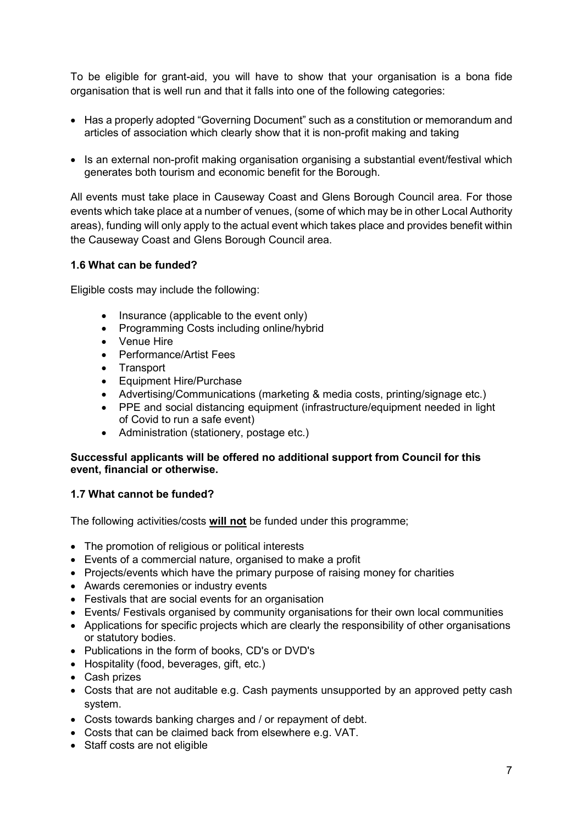To be eligible for grant-aid, you will have to show that your organisation is a bona fide organisation that is well run and that it falls into one of the following categories:

- Has a properly adopted "Governing Document" such as a constitution or memorandum and articles of association which clearly show that it is non-profit making and taking
- Is an external non-profit making organisation organising a substantial event/festival which generates both tourism and economic benefit for the Borough.

All events must take place in Causeway Coast and Glens Borough Council area. For those events which take place at a number of venues, (some of which may be in other Local Authority areas), funding will only apply to the actual event which takes place and provides benefit within the Causeway Coast and Glens Borough Council area.

#### 1.6 What can be funded?

Eligible costs may include the following:

- $\bullet$  Insurance (applicable to the event only)
- Programming Costs including online/hybrid
- Venue Hire
- Performance/Artist Fees
- Transport
- Equipment Hire/Purchase
- Advertising/Communications (marketing & media costs, printing/signage etc.)
- PPE and social distancing equipment (infrastructure/equipment needed in light of Covid to run a safe event)
- Administration (stationery, postage etc.)

#### Successful applicants will be offered no additional support from Council for this event, financial or otherwise.

## 1.7 What cannot be funded?

The following activities/costs will not be funded under this programme;

- The promotion of religious or political interests
- Events of a commercial nature, organised to make a profit
- Projects/events which have the primary purpose of raising money for charities
- Awards ceremonies or industry events
- Festivals that are social events for an organisation
- Events/ Festivals organised by community organisations for their own local communities
- Applications for specific projects which are clearly the responsibility of other organisations or statutory bodies.
- Publications in the form of books, CD's or DVD's
- Hospitality (food, beverages, gift, etc.)
- Cash prizes
- Costs that are not auditable e.g. Cash payments unsupported by an approved petty cash system.
- Costs towards banking charges and / or repayment of debt.
- Costs that can be claimed back from elsewhere e.g. VAT.
- Staff costs are not eligible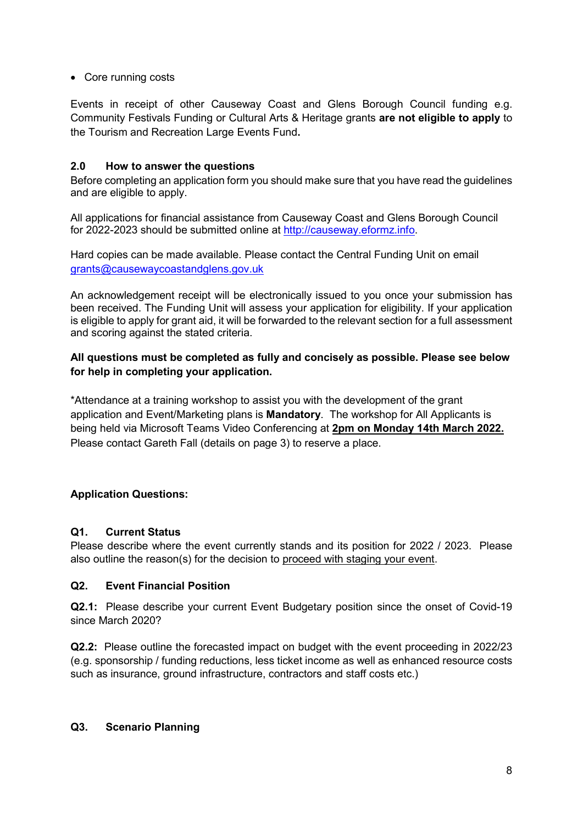#### • Core running costs

Events in receipt of other Causeway Coast and Glens Borough Council funding e.g. Community Festivals Funding or Cultural Arts & Heritage grants are not eligible to apply to the Tourism and Recreation Large Events Fund.

#### 2.0 How to answer the questions

Before completing an application form you should make sure that you have read the guidelines and are eligible to apply.

All applications for financial assistance from Causeway Coast and Glens Borough Council for 2022-2023 should be submitted online at http://causeway.eformz.info.

Hard copies can be made available. Please contact the Central Funding Unit on email grants@causewaycoastandglens.gov.uk

An acknowledgement receipt will be electronically issued to you once your submission has been received. The Funding Unit will assess your application for eligibility. If your application is eligible to apply for grant aid, it will be forwarded to the relevant section for a full assessment and scoring against the stated criteria.

## All questions must be completed as fully and concisely as possible. Please see below for help in completing your application.

\*Attendance at a training workshop to assist you with the development of the grant application and Event/Marketing plans is Mandatory. The workshop for All Applicants is being held via Microsoft Teams Video Conferencing at 2pm on Monday 14th March 2022. Please contact Gareth Fall (details on page 3) to reserve a place.

## Application Questions:

## Q1. Current Status

Please describe where the event currently stands and its position for 2022 / 2023. Please also outline the reason(s) for the decision to proceed with staging your event.

#### Q2. Event Financial Position

Q2.1: Please describe your current Event Budgetary position since the onset of Covid-19 since March 2020?

Q2.2: Please outline the forecasted impact on budget with the event proceeding in 2022/23 (e.g. sponsorship / funding reductions, less ticket income as well as enhanced resource costs such as insurance, ground infrastructure, contractors and staff costs etc.)

#### Q3. Scenario Planning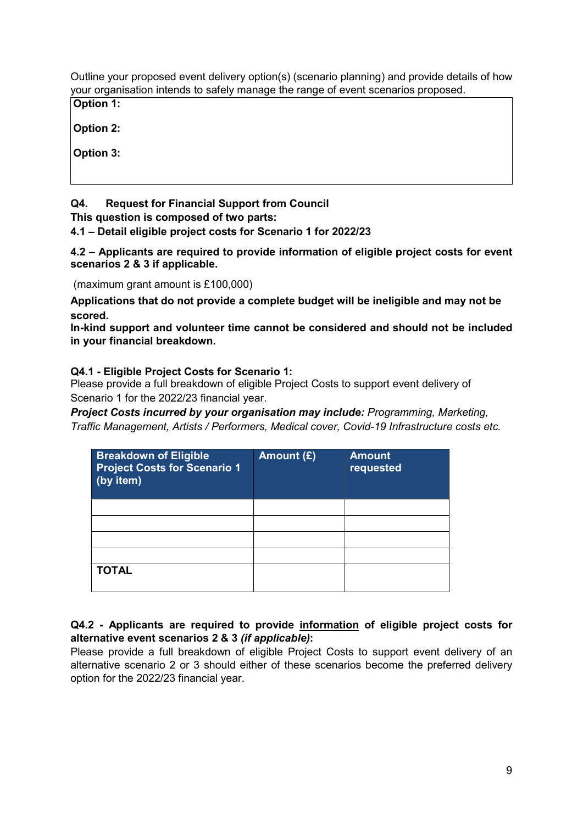Outline your proposed event delivery option(s) (scenario planning) and provide details of how your organisation intends to safely manage the range of event scenarios proposed.

Option 1:

Option 2:

Option 3:

## Q4. Request for Financial Support from Council

This question is composed of two parts:

4.1 – Detail eligible project costs for Scenario 1 for 2022/23

4.2 – Applicants are required to provide information of eligible project costs for event scenarios 2 & 3 if applicable.

(maximum grant amount is £100,000)

Applications that do not provide a complete budget will be ineligible and may not be scored.

In-kind support and volunteer time cannot be considered and should not be included in your financial breakdown.

## Q4.1 - Eligible Project Costs for Scenario 1:

Please provide a full breakdown of eligible Project Costs to support event delivery of Scenario 1 for the 2022/23 financial year.

Project Costs incurred by your organisation may include: Programming, Marketing, Traffic Management, Artists / Performers, Medical cover, Covid-19 Infrastructure costs etc.

| <b>Breakdown of Eligible</b><br><b>Project Costs for Scenario 1</b><br>(by item) | Amount (£) | <b>Amount</b><br>requested |
|----------------------------------------------------------------------------------|------------|----------------------------|
|                                                                                  |            |                            |
|                                                                                  |            |                            |
|                                                                                  |            |                            |
|                                                                                  |            |                            |
| <b>TOTAL</b>                                                                     |            |                            |

## Q4.2 - Applicants are required to provide information of eligible project costs for alternative event scenarios 2 & 3 (if applicable):

Please provide a full breakdown of eligible Project Costs to support event delivery of an alternative scenario 2 or 3 should either of these scenarios become the preferred delivery option for the 2022/23 financial year.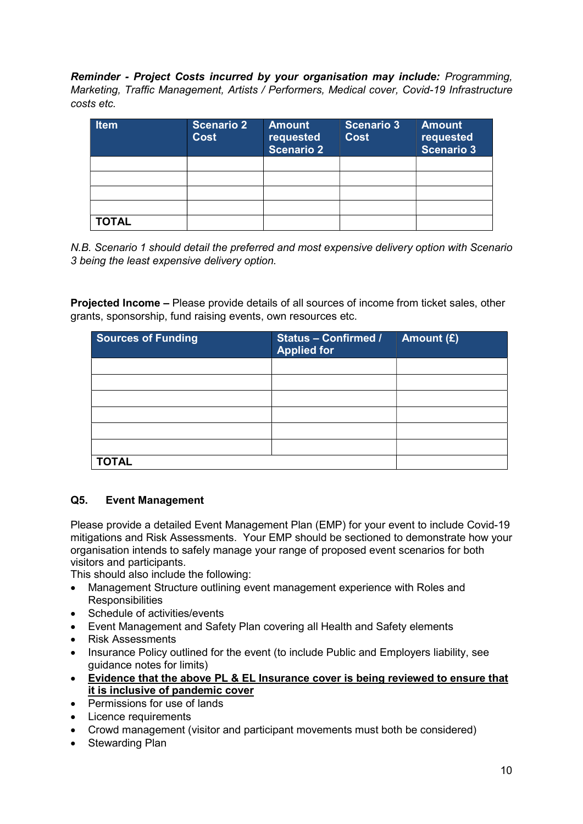Reminder - Project Costs incurred by your organisation may include: Programming, Marketing, Traffic Management, Artists / Performers, Medical cover, Covid-19 Infrastructure costs etc.

| <b>Item</b>  | <b>Scenario 2</b><br><b>Cost</b> | <b>Amount</b><br>requested<br><b>Scenario 2</b> | <b>Scenario 3</b><br><b>Cost</b> | <b>Amount</b><br>requested<br><b>Scenario 3</b> |
|--------------|----------------------------------|-------------------------------------------------|----------------------------------|-------------------------------------------------|
|              |                                  |                                                 |                                  |                                                 |
|              |                                  |                                                 |                                  |                                                 |
|              |                                  |                                                 |                                  |                                                 |
|              |                                  |                                                 |                                  |                                                 |
| <b>TOTAL</b> |                                  |                                                 |                                  |                                                 |

N.B. Scenario 1 should detail the preferred and most expensive delivery option with Scenario 3 being the least expensive delivery option.

Projected Income – Please provide details of all sources of income from ticket sales, other grants, sponsorship, fund raising events, own resources etc.

| <b>Sources of Funding</b> | <b>Status - Confirmed /</b><br><b>Applied for</b> | Amount (£) |
|---------------------------|---------------------------------------------------|------------|
|                           |                                                   |            |
|                           |                                                   |            |
|                           |                                                   |            |
|                           |                                                   |            |
|                           |                                                   |            |
|                           |                                                   |            |
| <b>TOTAL</b>              |                                                   |            |

## Q5. Event Management

Please provide a detailed Event Management Plan (EMP) for your event to include Covid-19 mitigations and Risk Assessments. Your EMP should be sectioned to demonstrate how your organisation intends to safely manage your range of proposed event scenarios for both visitors and participants.

This should also include the following:

- Management Structure outlining event management experience with Roles and **Responsibilities**
- Schedule of activities/events
- Event Management and Safety Plan covering all Health and Safety elements
- Risk Assessments
- Insurance Policy outlined for the event (to include Public and Employers liability, see guidance notes for limits)
- Evidence that the above PL & EL Insurance cover is being reviewed to ensure that it is inclusive of pandemic cover
- Permissions for use of lands
- Licence requirements
- Crowd management (visitor and participant movements must both be considered)
- Stewarding Plan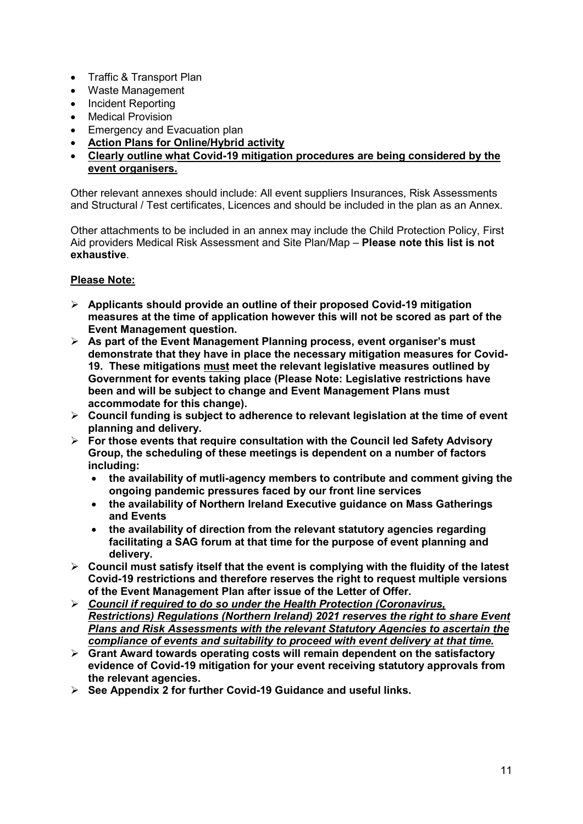- Traffic & Transport Plan
- Waste Management
- Incident Reporting
- Medical Provision
- Emergency and Evacuation plan
- Action Plans for Online/Hybrid activity
- Clearly outline what Covid-19 mitigation procedures are being considered by the event organisers.

Other relevant annexes should include: All event suppliers Insurances, Risk Assessments and Structural / Test certificates, Licences and should be included in the plan as an Annex.

Other attachments to be included in an annex may include the Child Protection Policy, First Aid providers Medical Risk Assessment and Site Plan/Map - Please note this list is not exhaustive.

#### Please Note:

- $\triangleright$  Applicants should provide an outline of their proposed Covid-19 mitigation measures at the time of application however this will not be scored as part of the Event Management question.
- $\triangleright$  As part of the Event Management Planning process, event organiser's must demonstrate that they have in place the necessary mitigation measures for Covid-19. These mitigations must meet the relevant legislative measures outlined by Government for events taking place (Please Note: Legislative restrictions have been and will be subject to change and Event Management Plans must accommodate for this change).
- $\triangleright$  Council funding is subject to adherence to relevant legislation at the time of event planning and delivery.
- $\triangleright$  For those events that require consultation with the Council led Safety Advisory Group, the scheduling of these meetings is dependent on a number of factors including:
	- the availability of mutli-agency members to contribute and comment giving the ongoing pandemic pressures faced by our front line services
	- the availability of Northern Ireland Executive guidance on Mass Gatherings and Events
	- the availability of direction from the relevant statutory agencies regarding facilitating a SAG forum at that time for the purpose of event planning and delivery.
- $\triangleright$  Council must satisfy itself that the event is complying with the fluidity of the latest Covid-19 restrictions and therefore reserves the right to request multiple versions of the Event Management Plan after issue of the Letter of Offer.
- $\triangleright$  Council if required to do so under the Health Protection (Coronavirus, Restrictions) Regulations (Northern Ireland) 2021 reserves the right to share Event Plans and Risk Assessments with the relevant Statutory Agencies to ascertain the compliance of events and suitability to proceed with event delivery at that time.
- $\triangleright$  Grant Award towards operating costs will remain dependent on the satisfactory evidence of Covid-19 mitigation for your event receiving statutory approvals from the relevant agencies.
- $\triangleright$  See Appendix 2 for further Covid-19 Guidance and useful links.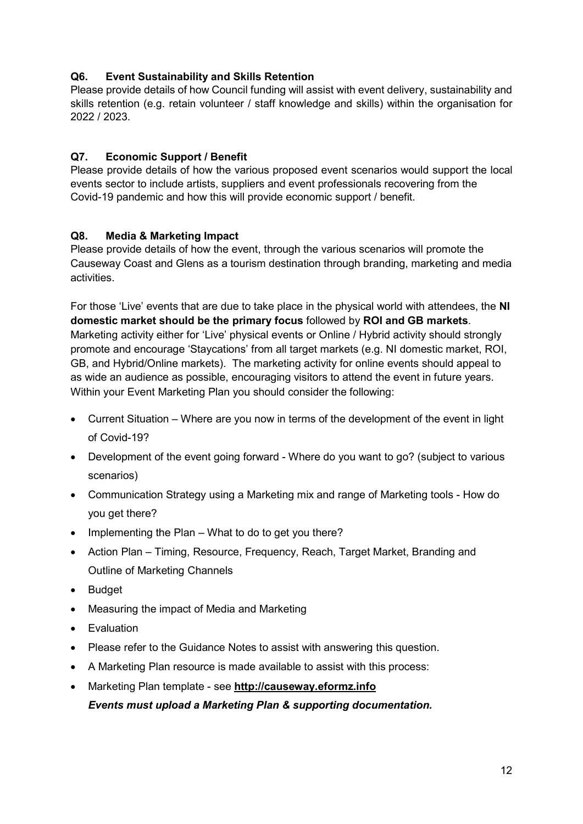## Q6. Event Sustainability and Skills Retention

Please provide details of how Council funding will assist with event delivery, sustainability and skills retention (e.g. retain volunteer / staff knowledge and skills) within the organisation for 2022 / 2023.

## Q7. Economic Support / Benefit

Please provide details of how the various proposed event scenarios would support the local events sector to include artists, suppliers and event professionals recovering from the Covid-19 pandemic and how this will provide economic support / benefit.

## Q8. Media & Marketing Impact

Please provide details of how the event, through the various scenarios will promote the Causeway Coast and Glens as a tourism destination through branding, marketing and media activities.

For those 'Live' events that are due to take place in the physical world with attendees, the NI domestic market should be the primary focus followed by ROI and GB markets. Marketing activity either for 'Live' physical events or Online / Hybrid activity should strongly promote and encourage 'Staycations' from all target markets (e.g. NI domestic market, ROI, GB, and Hybrid/Online markets). The marketing activity for online events should appeal to as wide an audience as possible, encouraging visitors to attend the event in future years. Within your Event Marketing Plan you should consider the following:

- Current Situation Where are you now in terms of the development of the event in light of Covid-19?
- Development of the event going forward Where do you want to go? (subject to various scenarios)
- Communication Strategy using a Marketing mix and range of Marketing tools How do you get there?
- $\bullet$  Implementing the Plan What to do to get you there?
- Action Plan Timing, Resource, Frequency, Reach, Target Market, Branding and Outline of Marketing Channels
- Budget
- Measuring the impact of Media and Marketing
- Evaluation
- Please refer to the Guidance Notes to assist with answering this question.
- A Marketing Plan resource is made available to assist with this process:
- Marketing Plan template see http://causeway.eformz.info

Events must upload a Marketing Plan & supporting documentation.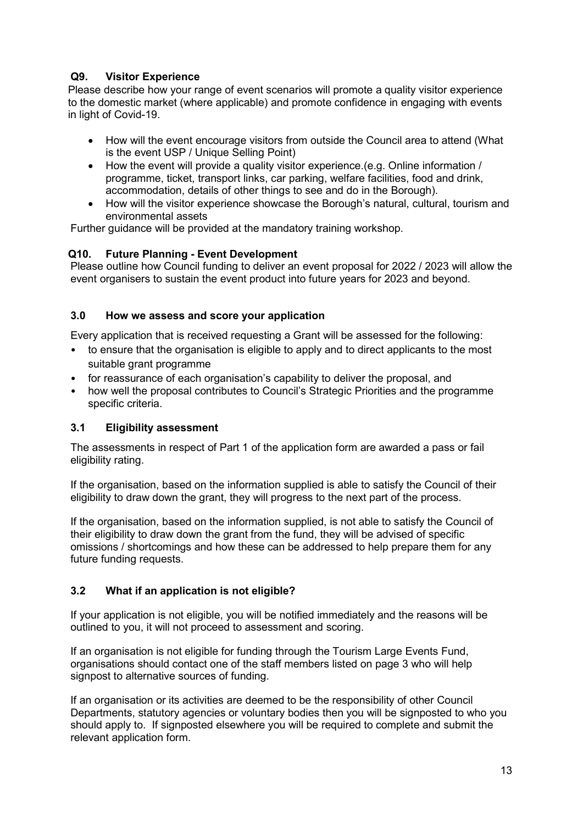## Q9. Visitor Experience

Please describe how your range of event scenarios will promote a quality visitor experience to the domestic market (where applicable) and promote confidence in engaging with events in light of Covid-19.

- How will the event encourage visitors from outside the Council area to attend (What is the event USP / Unique Selling Point)
- How the event will provide a quality visitor experience.(e.g. Online information / programme, ticket, transport links, car parking, welfare facilities, food and drink, accommodation, details of other things to see and do in the Borough).
- How will the visitor experience showcase the Borough's natural, cultural, tourism and environmental assets

Further guidance will be provided at the mandatory training workshop.

## Q10. Future Planning - Event Development

Please outline how Council funding to deliver an event proposal for 2022 / 2023 will allow the event organisers to sustain the event product into future years for 2023 and beyond.

#### 3.0 How we assess and score your application

Every application that is received requesting a Grant will be assessed for the following:

- to ensure that the organisation is eligible to apply and to direct applicants to the most suitable grant programme
- for reassurance of each organisation's capability to deliver the proposal, and
- how well the proposal contributes to Council's Strategic Priorities and the programme specific criteria.

#### 3.1 Eligibility assessment

The assessments in respect of Part 1 of the application form are awarded a pass or fail eligibility rating.

If the organisation, based on the information supplied is able to satisfy the Council of their eligibility to draw down the grant, they will progress to the next part of the process.

If the organisation, based on the information supplied, is not able to satisfy the Council of their eligibility to draw down the grant from the fund, they will be advised of specific omissions / shortcomings and how these can be addressed to help prepare them for any future funding requests.

## 3.2 What if an application is not eligible?

If your application is not eligible, you will be notified immediately and the reasons will be outlined to you, it will not proceed to assessment and scoring.

If an organisation is not eligible for funding through the Tourism Large Events Fund, organisations should contact one of the staff members listed on page 3 who will help signpost to alternative sources of funding.

If an organisation or its activities are deemed to be the responsibility of other Council Departments, statutory agencies or voluntary bodies then you will be signposted to who you should apply to. If signposted elsewhere you will be required to complete and submit the relevant application form.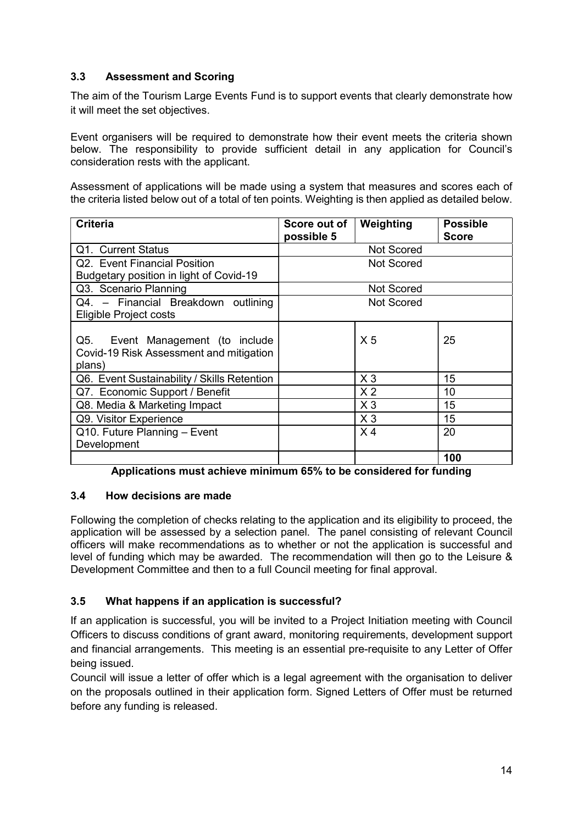## 3.3 Assessment and Scoring

The aim of the Tourism Large Events Fund is to support events that clearly demonstrate how it will meet the set objectives.

Event organisers will be required to demonstrate how their event meets the criteria shown below. The responsibility to provide sufficient detail in any application for Council's consideration rests with the applicant.

Assessment of applications will be made using a system that measures and scores each of the criteria listed below out of a total of ten points. Weighting is then applied as detailed below.

| <b>Criteria</b>                                                                          | Score out of      | Weighting      | <b>Possible</b> |
|------------------------------------------------------------------------------------------|-------------------|----------------|-----------------|
|                                                                                          | possible 5        |                | <b>Score</b>    |
| Q1. Current Status                                                                       | <b>Not Scored</b> |                |                 |
| Q2. Event Financial Position                                                             | <b>Not Scored</b> |                |                 |
| Budgetary position in light of Covid-19                                                  |                   |                |                 |
| Q3. Scenario Planning                                                                    | <b>Not Scored</b> |                |                 |
| Q4. - Financial Breakdown outlining                                                      | <b>Not Scored</b> |                |                 |
| <b>Eligible Project costs</b>                                                            |                   |                |                 |
| Q5.<br>Event Management (to include<br>Covid-19 Risk Assessment and mitigation<br>plans) |                   | X <sub>5</sub> | 25              |
| Q6. Event Sustainability / Skills Retention                                              |                   | $X_3$          | 15              |
| Q7. Economic Support / Benefit                                                           |                   | X <sub>2</sub> | 10              |
| Q8. Media & Marketing Impact                                                             |                   | $X_3$          | 15              |
| Q9. Visitor Experience                                                                   |                   | $X_3$          | 15              |
| Q10. Future Planning - Event                                                             |                   | X <sub>4</sub> | 20              |
| Development                                                                              |                   |                |                 |
|                                                                                          |                   |                | 100             |

Applications must achieve minimum 65% to be considered for funding

## 3.4 How decisions are made

Following the completion of checks relating to the application and its eligibility to proceed, the application will be assessed by a selection panel. The panel consisting of relevant Council officers will make recommendations as to whether or not the application is successful and level of funding which may be awarded. The recommendation will then go to the Leisure & Development Committee and then to a full Council meeting for final approval.

## 3.5 What happens if an application is successful?

If an application is successful, you will be invited to a Project Initiation meeting with Council Officers to discuss conditions of grant award, monitoring requirements, development support and financial arrangements. This meeting is an essential pre-requisite to any Letter of Offer being issued.

Council will issue a letter of offer which is a legal agreement with the organisation to deliver on the proposals outlined in their application form. Signed Letters of Offer must be returned before any funding is released.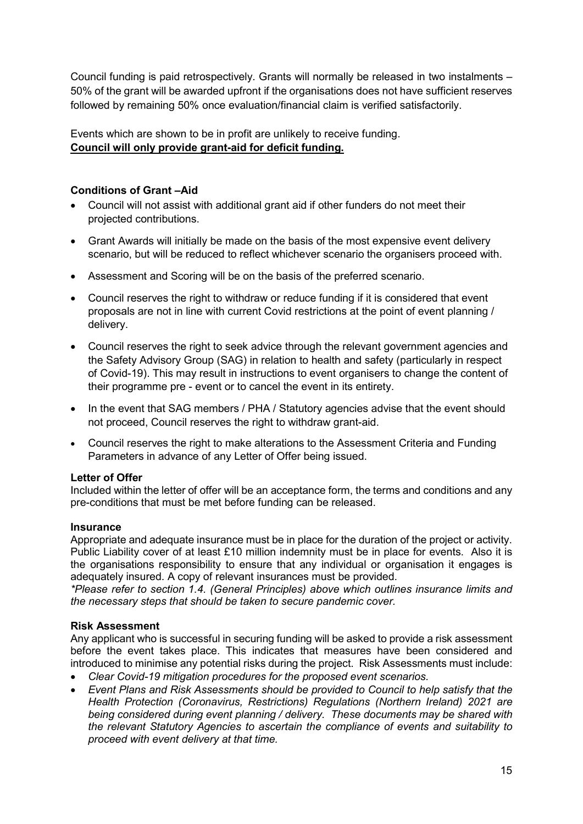Council funding is paid retrospectively. Grants will normally be released in two instalments – 50% of the grant will be awarded upfront if the organisations does not have sufficient reserves followed by remaining 50% once evaluation/financial claim is verified satisfactorily.

Events which are shown to be in profit are unlikely to receive funding. Council will only provide grant-aid for deficit funding.

#### Conditions of Grant –Aid

- Council will not assist with additional grant aid if other funders do not meet their projected contributions.
- Grant Awards will initially be made on the basis of the most expensive event delivery scenario, but will be reduced to reflect whichever scenario the organisers proceed with.
- Assessment and Scoring will be on the basis of the preferred scenario.
- Council reserves the right to withdraw or reduce funding if it is considered that event proposals are not in line with current Covid restrictions at the point of event planning / delivery.
- Council reserves the right to seek advice through the relevant government agencies and the Safety Advisory Group (SAG) in relation to health and safety (particularly in respect of Covid-19). This may result in instructions to event organisers to change the content of their programme pre - event or to cancel the event in its entirety.
- In the event that SAG members / PHA / Statutory agencies advise that the event should not proceed, Council reserves the right to withdraw grant-aid.
- Council reserves the right to make alterations to the Assessment Criteria and Funding Parameters in advance of any Letter of Offer being issued.

#### Letter of Offer

Included within the letter of offer will be an acceptance form, the terms and conditions and any pre-conditions that must be met before funding can be released.

#### **Insurance**

Appropriate and adequate insurance must be in place for the duration of the project or activity. Public Liability cover of at least £10 million indemnity must be in place for events. Also it is the organisations responsibility to ensure that any individual or organisation it engages is adequately insured. A copy of relevant insurances must be provided.

\*Please refer to section 1.4. (General Principles) above which outlines insurance limits and the necessary steps that should be taken to secure pandemic cover.

#### Risk Assessment

Any applicant who is successful in securing funding will be asked to provide a risk assessment before the event takes place. This indicates that measures have been considered and introduced to minimise any potential risks during the project. Risk Assessments must include:

- Clear Covid-19 mitigation procedures for the proposed event scenarios.
- Event Plans and Risk Assessments should be provided to Council to help satisfy that the Health Protection (Coronavirus, Restrictions) Regulations (Northern Ireland) 2021 are being considered during event planning / delivery. These documents may be shared with the relevant Statutory Agencies to ascertain the compliance of events and suitability to proceed with event delivery at that time.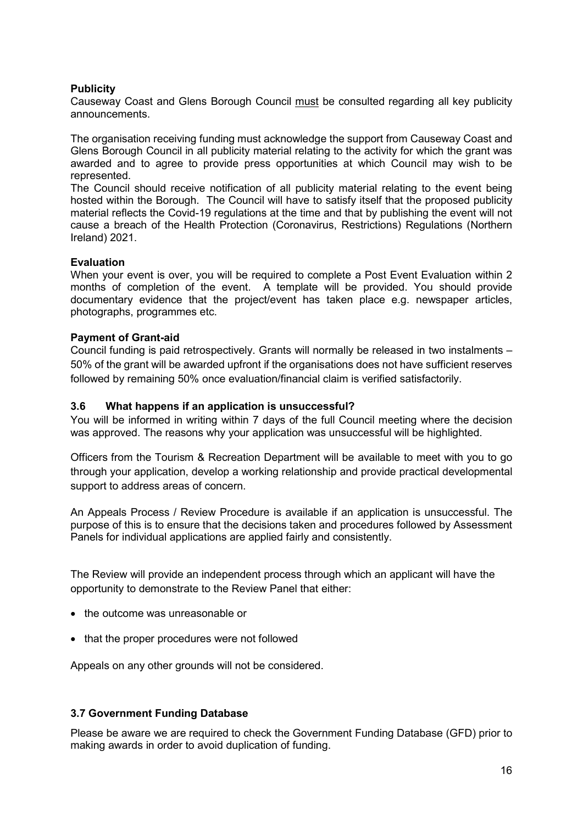#### **Publicity**

Causeway Coast and Glens Borough Council must be consulted regarding all key publicity announcements.

The organisation receiving funding must acknowledge the support from Causeway Coast and Glens Borough Council in all publicity material relating to the activity for which the grant was awarded and to agree to provide press opportunities at which Council may wish to be represented.

The Council should receive notification of all publicity material relating to the event being hosted within the Borough. The Council will have to satisfy itself that the proposed publicity material reflects the Covid-19 regulations at the time and that by publishing the event will not cause a breach of the Health Protection (Coronavirus, Restrictions) Regulations (Northern Ireland) 2021.

#### Evaluation

When your event is over, you will be required to complete a Post Event Evaluation within 2 months of completion of the event. A template will be provided. You should provide documentary evidence that the project/event has taken place e.g. newspaper articles, photographs, programmes etc.

#### Payment of Grant-aid

Council funding is paid retrospectively. Grants will normally be released in two instalments – 50% of the grant will be awarded upfront if the organisations does not have sufficient reserves followed by remaining 50% once evaluation/financial claim is verified satisfactorily.

#### 3.6 What happens if an application is unsuccessful?

You will be informed in writing within 7 days of the full Council meeting where the decision was approved. The reasons why your application was unsuccessful will be highlighted.

Officers from the Tourism & Recreation Department will be available to meet with you to go through your application, develop a working relationship and provide practical developmental support to address areas of concern.

An Appeals Process / Review Procedure is available if an application is unsuccessful. The purpose of this is to ensure that the decisions taken and procedures followed by Assessment Panels for individual applications are applied fairly and consistently.

The Review will provide an independent process through which an applicant will have the opportunity to demonstrate to the Review Panel that either:

- the outcome was unreasonable or
- that the proper procedures were not followed

Appeals on any other grounds will not be considered.

#### 3.7 Government Funding Database

Please be aware we are required to check the Government Funding Database (GFD) prior to making awards in order to avoid duplication of funding.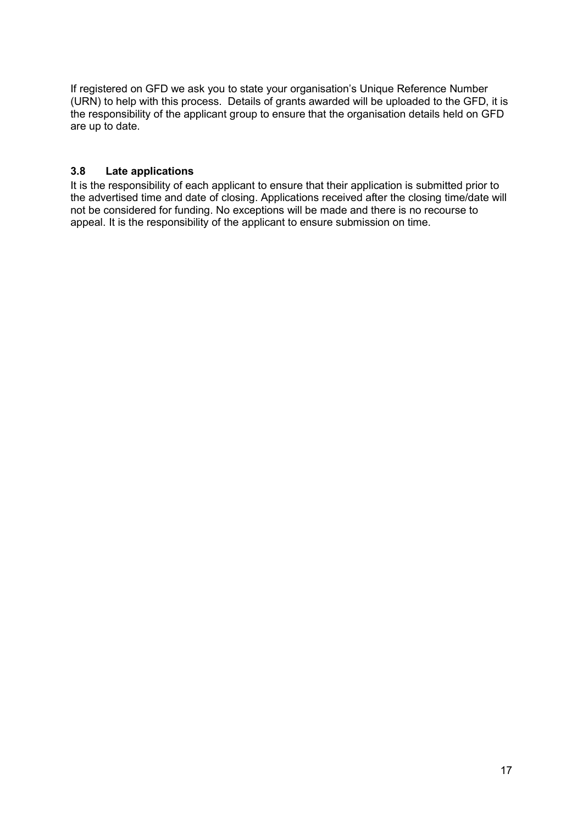If registered on GFD we ask you to state your organisation's Unique Reference Number (URN) to help with this process. Details of grants awarded will be uploaded to the GFD, it is the responsibility of the applicant group to ensure that the organisation details held on GFD are up to date.

#### 3.8 Late applications

It is the responsibility of each applicant to ensure that their application is submitted prior to the advertised time and date of closing. Applications received after the closing time/date will not be considered for funding. No exceptions will be made and there is no recourse to appeal. It is the responsibility of the applicant to ensure submission on time.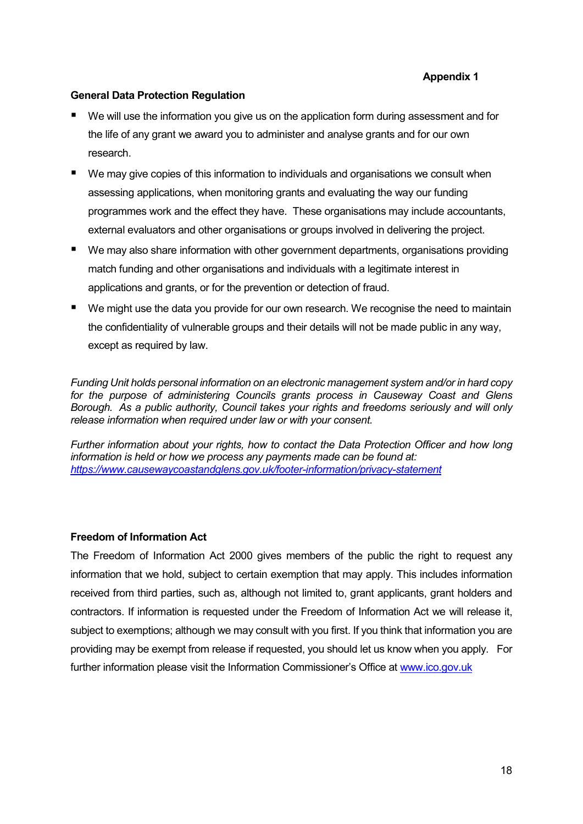#### General Data Protection Regulation

- We will use the information you give us on the application form during assessment and for the life of any grant we award you to administer and analyse grants and for our own research.
- We may give copies of this information to individuals and organisations we consult when assessing applications, when monitoring grants and evaluating the way our funding programmes work and the effect they have. These organisations may include accountants, external evaluators and other organisations or groups involved in delivering the project.
- We may also share information with other government departments, organisations providing match funding and other organisations and individuals with a legitimate interest in applications and grants, or for the prevention or detection of fraud.
- We might use the data you provide for our own research. We recognise the need to maintain the confidentiality of vulnerable groups and their details will not be made public in any way, except as required by law.

Funding Unit holds personal information on an electronic management system and/or in hard copy for the purpose of administering Councils grants process in Causeway Coast and Glens Borough. As a public authority, Council takes your rights and freedoms seriously and will only release information when required under law or with your consent.

Further information about your rights, how to contact the Data Protection Officer and how long information is held or how we process any payments made can be found at: https://www.causewaycoastandglens.gov.uk/footer-information/privacy-statement

#### Freedom of Information Act

The Freedom of Information Act 2000 gives members of the public the right to request any information that we hold, subject to certain exemption that may apply. This includes information received from third parties, such as, although not limited to, grant applicants, grant holders and contractors. If information is requested under the Freedom of Information Act we will release it, subject to exemptions; although we may consult with you first. If you think that information you are providing may be exempt from release if requested, you should let us know when you apply. For further information please visit the Information Commissioner's Office at www.ico.gov.uk